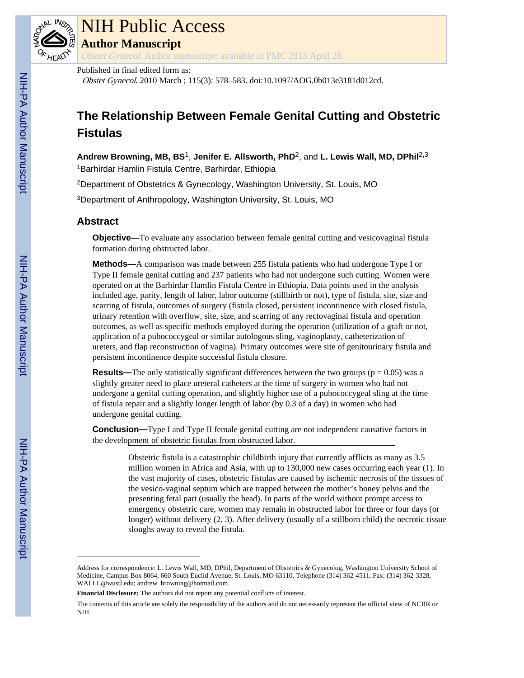

# NIH Public Access

**Author Manuscript**

Obstet Gynecol. Author manuscript; available in PMC 2013 April 28.

### Published in final edited form as:

Obstet Gynecol. 2010 March ; 115(3): 578–583. doi:10.1097/AOG.0b013e3181d012cd.

# **The Relationship Between Female Genital Cutting and Obstetric Fistulas**

**Andrew Browning, MB, BS**1, **Jenifer E. Allsworth, PhD**2, and **L. Lewis Wall, MD, DPhil**2,3 <sup>1</sup>Barhirdar Hamlin Fistula Centre, Barhirdar, Ethiopia

<sup>2</sup>Department of Obstetrics & Gynecology, Washington University, St. Louis, MO

<sup>3</sup>Department of Anthropology, Washington University, St. Louis, MO

# **Abstract**

**Objective—**To evaluate any association between female genital cutting and vesicovaginal fistula formation during obstructed labor.

**Methods—**A comparison was made between 255 fistula patients who had undergone Type I or Type II female genital cutting and 237 patients who had not undergone such cutting. Women were operated on at the Barhirdar Hamlin Fistula Centre in Ethiopia. Data points used in the analysis included age, parity, length of labor, labor outcome (stillbirth or not), type of fistula, site, size and scarring of fistula, outcomes of surgery (fistula closed, persistent incontinence with closed fistula, urinary retention with overflow, site, size, and scarring of any rectovaginal fistula and operation outcomes, as well as specific methods employed during the operation (utilization of a graft or not, application of a pubococcygeal or similar autologous sling, vaginoplasty, catheterization of ureters, and flap reconstruction of vagina). Primary outcomes were site of genitourinary fistula and persistent incontinence despite successful fistula closure.

**Results—The only statistically significant differences between the two groups (** $p = 0.05$ **) was a** slightly greater need to place ureteral catheters at the time of surgery in women who had not undergone a genital cutting operation, and slightly higher use of a pubococcygeal sling at the time of fistula repair and a slightly longer length of labor (by 0.3 of a day) in women who had undergone genital cutting.

**Conclusion—**Type I and Type II female genital cutting are not independent causative factors in the development of obstetric fistulas from obstructed labor.

> Obstetric fistula is a catastrophic childbirth injury that currently afflicts as many as 3.5 million women in Africa and Asia, with up to 130,000 new cases occurring each year (1). In the vast majority of cases, obstetric fistulas are caused by ischemic necrosis of the tissues of the vesico-vaginal septum which are trapped between the mother's boney pelvis and the presenting fetal part (usually the head). In parts of the world without prompt access to emergency obstetric care, women may remain in obstructed labor for three or four days (or longer) without delivery (2, 3). After delivery (usually of a stillborn child) the necrotic tissue sloughs away to reveal the fistula.

Address for correspondence: L. Lewis Wall, MD, DPhil, Department of Obstetrics & Gynecolog, Washington University School of Medicine, Campus Box 8064, 660 South Euclid Avenue, St. Louis, MO 63110, Telephone (314) 362-4511, Fax: (314) 362-3328, WALLL@wustl.edu; andrew\_browning@hotmail.com.

**Financial Disclosure:** The authors did not report any potential conflicts of interest.

The contents of this article are solely the responsibility of the authors and do not necessarily represent the official view of NCRR or NIH.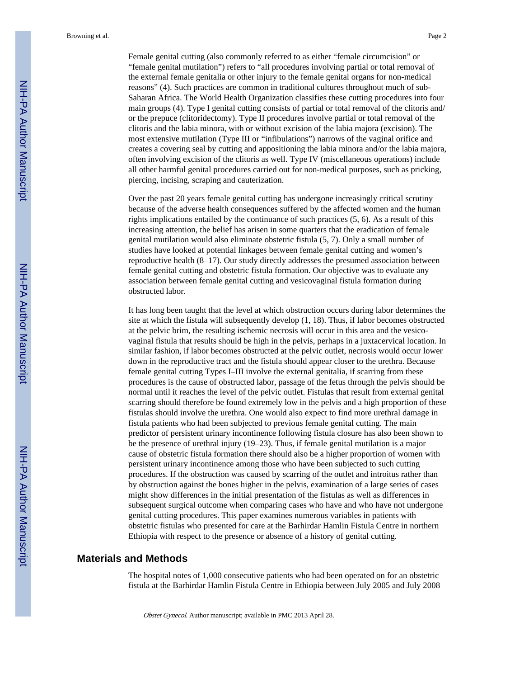Female genital cutting (also commonly referred to as either "female circumcision" or "female genital mutilation") refers to "all procedures involving partial or total removal of the external female genitalia or other injury to the female genital organs for non-medical reasons" (4). Such practices are common in traditional cultures throughout much of sub-Saharan Africa. The World Health Organization classifies these cutting procedures into four main groups (4). Type I genital cutting consists of partial or total removal of the clitoris and/ or the prepuce (clitoridectomy). Type II procedures involve partial or total removal of the clitoris and the labia minora, with or without excision of the labia majora (excision). The most extensive mutilation (Type III or "infibulations") narrows of the vaginal orifice and creates a covering seal by cutting and appositioning the labia minora and/or the labia majora, often involving excision of the clitoris as well. Type IV (miscellaneous operations) include all other harmful genital procedures carried out for non-medical purposes, such as pricking, piercing, incising, scraping and cauterization.

Over the past 20 years female genital cutting has undergone increasingly critical scrutiny because of the adverse health consequences suffered by the affected women and the human rights implications entailed by the continuance of such practices (5, 6). As a result of this increasing attention, the belief has arisen in some quarters that the eradication of female genital mutilation would also eliminate obstetric fistula (5, 7). Only a small number of studies have looked at potential linkages between female genital cutting and women's reproductive health (8–17). Our study directly addresses the presumed association between female genital cutting and obstetric fistula formation. Our objective was to evaluate any association between female genital cutting and vesicovaginal fistula formation during obstructed labor.

It has long been taught that the level at which obstruction occurs during labor determines the site at which the fistula will subsequently develop (1, 18). Thus, if labor becomes obstructed at the pelvic brim, the resulting ischemic necrosis will occur in this area and the vesicovaginal fistula that results should be high in the pelvis, perhaps in a juxtacervical location. In similar fashion, if labor becomes obstructed at the pelvic outlet, necrosis would occur lower down in the reproductive tract and the fistula should appear closer to the urethra. Because female genital cutting Types I–III involve the external genitalia, if scarring from these procedures is the cause of obstructed labor, passage of the fetus through the pelvis should be normal until it reaches the level of the pelvic outlet. Fistulas that result from external genital scarring should therefore be found extremely low in the pelvis and a high proportion of these fistulas should involve the urethra. One would also expect to find more urethral damage in fistula patients who had been subjected to previous female genital cutting. The main predictor of persistent urinary incontinence following fistula closure has also been shown to be the presence of urethral injury (19–23). Thus, if female genital mutilation is a major cause of obstetric fistula formation there should also be a higher proportion of women with persistent urinary incontinence among those who have been subjected to such cutting procedures. If the obstruction was caused by scarring of the outlet and introitus rather than by obstruction against the bones higher in the pelvis, examination of a large series of cases might show differences in the initial presentation of the fistulas as well as differences in subsequent surgical outcome when comparing cases who have and who have not undergone genital cutting procedures. This paper examines numerous variables in patients with obstetric fistulas who presented for care at the Barhirdar Hamlin Fistula Centre in northern Ethiopia with respect to the presence or absence of a history of genital cutting.

#### **Materials and Methods**

The hospital notes of 1,000 consecutive patients who had been operated on for an obstetric fistula at the Barhirdar Hamlin Fistula Centre in Ethiopia between July 2005 and July 2008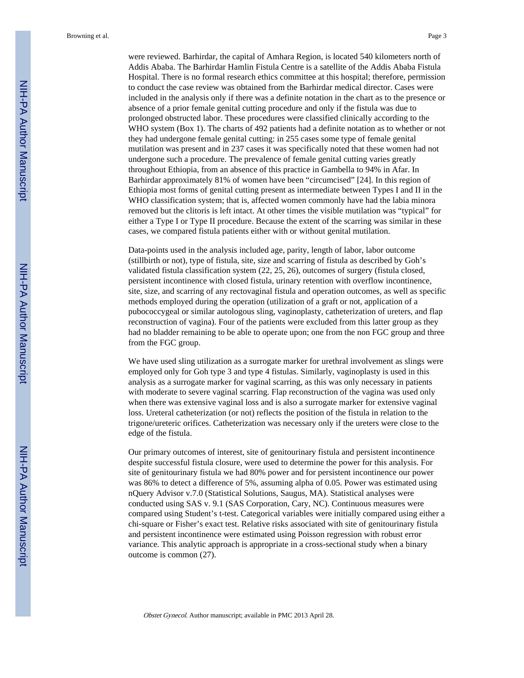were reviewed. Barhirdar, the capital of Amhara Region, is located 540 kilometers north of Addis Ababa. The Barhirdar Hamlin Fistula Centre is a satellite of the Addis Ababa Fistula Hospital. There is no formal research ethics committee at this hospital; therefore, permission to conduct the case review was obtained from the Barhirdar medical director. Cases were included in the analysis only if there was a definite notation in the chart as to the presence or absence of a prior female genital cutting procedure and only if the fistula was due to prolonged obstructed labor. These procedures were classified clinically according to the WHO system (Box 1). The charts of 492 patients had a definite notation as to whether or not they had undergone female genital cutting: in 255 cases some type of female genital mutilation was present and in 237 cases it was specifically noted that these women had not undergone such a procedure. The prevalence of female genital cutting varies greatly throughout Ethiopia, from an absence of this practice in Gambella to 94% in Afar. In Barhirdar approximately 81% of women have been "circumcised" [24]. In this region of Ethiopia most forms of genital cutting present as intermediate between Types I and II in the WHO classification system; that is, affected women commonly have had the labia minora removed but the clitoris is left intact. At other times the visible mutilation was "typical" for either a Type I or Type II procedure. Because the extent of the scarring was similar in these cases, we compared fistula patients either with or without genital mutilation.

Data-points used in the analysis included age, parity, length of labor, labor outcome (stillbirth or not), type of fistula, site, size and scarring of fistula as described by Goh's validated fistula classification system (22, 25, 26), outcomes of surgery (fistula closed, persistent incontinence with closed fistula, urinary retention with overflow incontinence, site, size, and scarring of any rectovaginal fistula and operation outcomes, as well as specific methods employed during the operation (utilization of a graft or not, application of a pubococcygeal or similar autologous sling, vaginoplasty, catheterization of ureters, and flap reconstruction of vagina). Four of the patients were excluded from this latter group as they had no bladder remaining to be able to operate upon; one from the non FGC group and three from the FGC group.

We have used sling utilization as a surrogate marker for urethral involvement as slings were employed only for Goh type 3 and type 4 fistulas. Similarly, vaginoplasty is used in this analysis as a surrogate marker for vaginal scarring, as this was only necessary in patients with moderate to severe vaginal scarring. Flap reconstruction of the vagina was used only when there was extensive vaginal loss and is also a surrogate marker for extensive vaginal loss. Ureteral catheterization (or not) reflects the position of the fistula in relation to the trigone/ureteric orifices. Catheterization was necessary only if the ureters were close to the edge of the fistula.

Our primary outcomes of interest, site of genitourinary fistula and persistent incontinence despite successful fistula closure, were used to determine the power for this analysis. For site of genitourinary fistula we had 80% power and for persistent incontinence our power was 86% to detect a difference of 5%, assuming alpha of 0.05. Power was estimated using nQuery Advisor v.7.0 (Statistical Solutions, Saugus, MA). Statistical analyses were conducted using SAS v. 9.1 (SAS Corporation, Cary, NC). Continuous measures were compared using Student's t-test. Categorical variables were initially compared using either a chi-square or Fisher's exact test. Relative risks associated with site of genitourinary fistula and persistent incontinence were estimated using Poisson regression with robust error variance. This analytic approach is appropriate in a cross-sectional study when a binary outcome is common (27).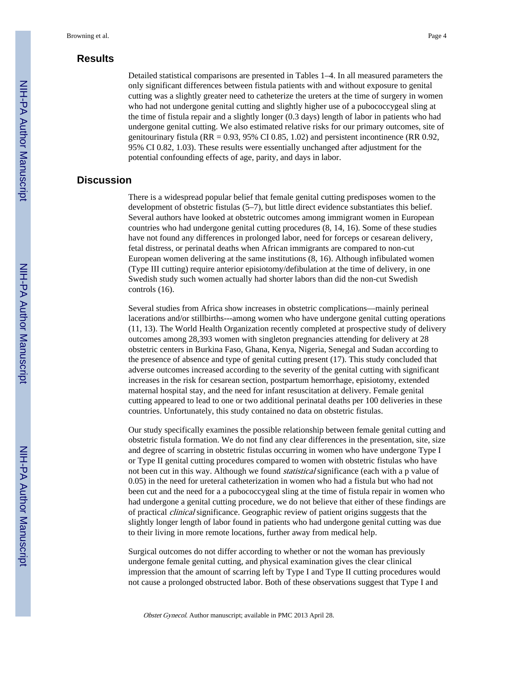## **Results**

Detailed statistical comparisons are presented in Tables 1–4. In all measured parameters the only significant differences between fistula patients with and without exposure to genital cutting was a slightly greater need to catheterize the ureters at the time of surgery in women who had not undergone genital cutting and slightly higher use of a pubococcygeal sling at the time of fistula repair and a slightly longer (0.3 days) length of labor in patients who had undergone genital cutting. We also estimated relative risks for our primary outcomes, site of genitourinary fistula ( $RR = 0.93$ ,  $95\%$  CI 0.85, 1.02) and persistent incontinence ( $RR$  0.92, 95% CI 0.82, 1.03). These results were essentially unchanged after adjustment for the potential confounding effects of age, parity, and days in labor.

#### **Discussion**

There is a widespread popular belief that female genital cutting predisposes women to the development of obstetric fistulas (5–7), but little direct evidence substantiates this belief. Several authors have looked at obstetric outcomes among immigrant women in European countries who had undergone genital cutting procedures (8, 14, 16). Some of these studies have not found any differences in prolonged labor, need for forceps or cesarean delivery, fetal distress, or perinatal deaths when African immigrants are compared to non-cut European women delivering at the same institutions (8, 16). Although infibulated women (Type III cutting) require anterior episiotomy/defibulation at the time of delivery, in one Swedish study such women actually had shorter labors than did the non-cut Swedish controls (16).

Several studies from Africa show increases in obstetric complications—mainly perineal lacerations and/or stillbirths---among women who have undergone genital cutting operations (11, 13). The World Health Organization recently completed at prospective study of delivery outcomes among 28,393 women with singleton pregnancies attending for delivery at 28 obstetric centers in Burkina Faso, Ghana, Kenya, Nigeria, Senegal and Sudan according to the presence of absence and type of genital cutting present (17). This study concluded that adverse outcomes increased according to the severity of the genital cutting with significant increases in the risk for cesarean section, postpartum hemorrhage, episiotomy, extended maternal hospital stay, and the need for infant resuscitation at delivery. Female genital cutting appeared to lead to one or two additional perinatal deaths per 100 deliveries in these countries. Unfortunately, this study contained no data on obstetric fistulas.

Our study specifically examines the possible relationship between female genital cutting and obstetric fistula formation. We do not find any clear differences in the presentation, site, size and degree of scarring in obstetric fistulas occurring in women who have undergone Type I or Type II genital cutting procedures compared to women with obstetric fistulas who have not been cut in this way. Although we found statistical significance (each with a p value of 0.05) in the need for ureteral catheterization in women who had a fistula but who had not been cut and the need for a a pubococcygeal sling at the time of fistula repair in women who had undergone a genital cutting procedure, we do not believe that either of these findings are of practical clinical significance. Geographic review of patient origins suggests that the slightly longer length of labor found in patients who had undergone genital cutting was due to their living in more remote locations, further away from medical help.

Surgical outcomes do not differ according to whether or not the woman has previously undergone female genital cutting, and physical examination gives the clear clinical impression that the amount of scarring left by Type I and Type II cutting procedures would not cause a prolonged obstructed labor. Both of these observations suggest that Type I and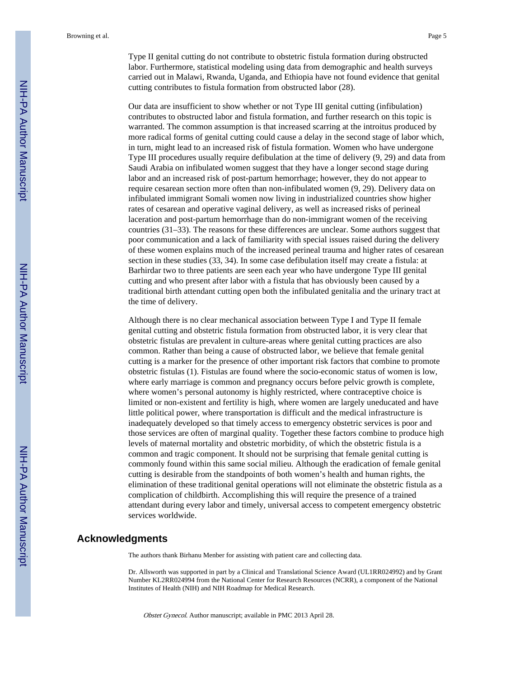Our data are insufficient to show whether or not Type III genital cutting (infibulation) contributes to obstructed labor and fistula formation, and further research on this topic is warranted. The common assumption is that increased scarring at the introitus produced by more radical forms of genital cutting could cause a delay in the second stage of labor which, in turn, might lead to an increased risk of fistula formation. Women who have undergone Type III procedures usually require defibulation at the time of delivery (9, 29) and data from Saudi Arabia on infibulated women suggest that they have a longer second stage during labor and an increased risk of post-partum hemorrhage; however, they do not appear to require cesarean section more often than non-infibulated women (9, 29). Delivery data on infibulated immigrant Somali women now living in industrialized countries show higher rates of cesarean and operative vaginal delivery, as well as increased risks of perineal laceration and post-partum hemorrhage than do non-immigrant women of the receiving countries (31–33). The reasons for these differences are unclear. Some authors suggest that poor communication and a lack of familiarity with special issues raised during the delivery of these women explains much of the increased perineal trauma and higher rates of cesarean section in these studies (33, 34). In some case defibulation itself may create a fistula: at Barhirdar two to three patients are seen each year who have undergone Type III genital cutting and who present after labor with a fistula that has obviously been caused by a traditional birth attendant cutting open both the infibulated genitalia and the urinary tract at the time of delivery.

Although there is no clear mechanical association between Type I and Type II female genital cutting and obstetric fistula formation from obstructed labor, it is very clear that obstetric fistulas are prevalent in culture-areas where genital cutting practices are also common. Rather than being a cause of obstructed labor, we believe that female genital cutting is a marker for the presence of other important risk factors that combine to promote obstetric fistulas (1). Fistulas are found where the socio-economic status of women is low, where early marriage is common and pregnancy occurs before pelvic growth is complete, where women's personal autonomy is highly restricted, where contraceptive choice is limited or non-existent and fertility is high, where women are largely uneducated and have little political power, where transportation is difficult and the medical infrastructure is inadequately developed so that timely access to emergency obstetric services is poor and those services are often of marginal quality. Together these factors combine to produce high levels of maternal mortality and obstetric morbidity, of which the obstetric fistula is a common and tragic component. It should not be surprising that female genital cutting is commonly found within this same social milieu. Although the eradication of female genital cutting is desirable from the standpoints of both women's health and human rights, the elimination of these traditional genital operations will not eliminate the obstetric fistula as a complication of childbirth. Accomplishing this will require the presence of a trained attendant during every labor and timely, universal access to competent emergency obstetric services worldwide.

#### **Acknowledgments**

The authors thank Birhanu Menber for assisting with patient care and collecting data.

Dr. Allsworth was supported in part by a Clinical and Translational Science Award (UL1RR024992) and by Grant Number KL2RR024994 from the National Center for Research Resources (NCRR), a component of the National Institutes of Health (NIH) and NIH Roadmap for Medical Research.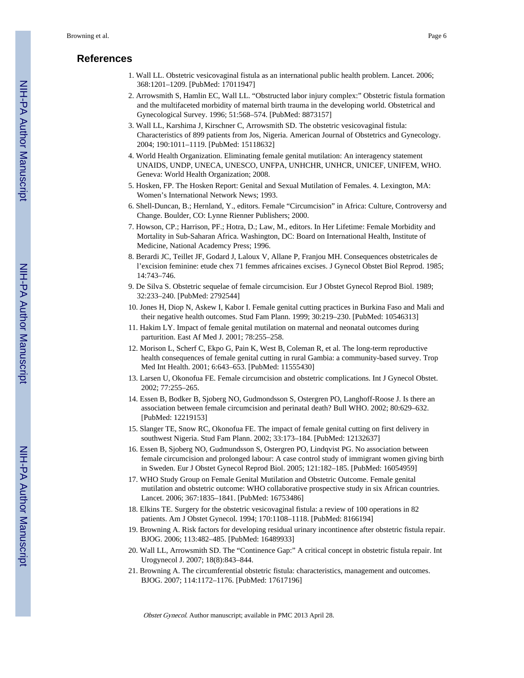# **References**

- 1. Wall LL. Obstetric vesicovaginal fistula as an international public health problem. Lancet. 2006; 368:1201–1209. [PubMed: 17011947]
- 2. Arrowsmith S, Hamlin EC, Wall LL. "Obstructed labor injury complex:" Obstetric fistula formation and the multifaceted morbidity of maternal birth trauma in the developing world. Obstetrical and Gynecological Survey. 1996; 51:568–574. [PubMed: 8873157]
- 3. Wall LL, Karshima J, Kirschner C, Arrowsmith SD. The obstetric vesicovaginal fistula: Characteristics of 899 patients from Jos, Nigeria. American Journal of Obstetrics and Gynecology. 2004; 190:1011–1119. [PubMed: 15118632]
- 4. World Health Organization. Eliminating female genital mutilation: An interagency statement UNAIDS, UNDP, UNECA, UNESCO, UNFPA, UNHCHR, UNHCR, UNICEF, UNIFEM, WHO. Geneva: World Health Organization; 2008.
- 5. Hosken, FP. The Hosken Report: Genital and Sexual Mutilation of Females. 4. Lexington, MA: Women's International Network News; 1993.
- 6. Shell-Duncan, B.; Hernland, Y., editors. Female "Circumcision" in Africa: Culture, Controversy and Change. Boulder, CO: Lynne Rienner Publishers; 2000.
- 7. Howson, CP.; Harrison, PF.; Hotra, D.; Law, M., editors. In Her Lifetime: Female Morbidity and Mortality in Sub-Saharan Africa. Washington, DC: Board on International Health, Institute of Medicine, National Academcy Press; 1996.
- 8. Berardi JC, Teillet JF, Godard J, Laloux V, Allane P, Franjou MH. Consequences obstetricales de l'excision feminine: etude chex 71 femmes africaines excises. J Gynecol Obstet Biol Reprod. 1985; 14:743–746.
- 9. De Silva S. Obstetric sequelae of female circumcision. Eur J Obstet Gynecol Reprod Biol. 1989; 32:233–240. [PubMed: 2792544]
- 10. Jones H, Diop N, Askew I, Kabor I. Female genital cutting practices in Burkina Faso and Mali and their negative health outcomes. Stud Fam Plann. 1999; 30:219–230. [PubMed: 10546313]
- 11. Hakim LY. Impact of female genital mutilation on maternal and neonatal outcomes during parturition. East Af Med J. 2001; 78:255–258.
- 12. Morison L, Scherf C, Ekpo G, Pain K, West B, Coleman R, et al. The long-term reproductive health consequences of female genital cutting in rural Gambia: a community-based survey. Trop Med Int Health. 2001; 6:643–653. [PubMed: 11555430]
- 13. Larsen U, Okonofua FE. Female circumcision and obstetric complications. Int J Gynecol Obstet. 2002; 77:255–265.
- 14. Essen B, Bodker B, Sjoberg NO, Gudmondsson S, Ostergren PO, Langhoff-Roose J. Is there an association between female circumcision and perinatal death? Bull WHO. 2002; 80:629–632. [PubMed: 12219153]
- 15. Slanger TE, Snow RC, Okonofua FE. The impact of female genital cutting on first delivery in southwest Nigeria. Stud Fam Plann. 2002; 33:173–184. [PubMed: 12132637]
- 16. Essen B, Sjoberg NO, Gudmundsson S, Ostergren PO, Lindqvist PG. No association between female circumcision and prolonged labour: A case control study of immigrant women giving birth in Sweden. Eur J Obstet Gynecol Reprod Biol. 2005; 121:182–185. [PubMed: 16054959]
- 17. WHO Study Group on Female Genital Mutilation and Obstetric Outcome. Female genital mutilation and obstetric outcome: WHO collaborative prospective study in six African countries. Lancet. 2006; 367:1835–1841. [PubMed: 16753486]
- 18. Elkins TE. Surgery for the obstetric vesicovaginal fistula: a review of 100 operations in 82 patients. Am J Obstet Gynecol. 1994; 170:1108–1118. [PubMed: 8166194]
- 19. Browning A. Risk factors for developing residual urinary incontinence after obstetric fistula repair. BJOG. 2006; 113:482–485. [PubMed: 16489933]
- 20. Wall LL, Arrowsmith SD. The "Continence Gap:" A critical concept in obstetric fistula repair. Int Urogynecol J. 2007; 18(8):843–844.
- 21. Browning A. The circumferential obstetric fistula: characteristics, management and outcomes. BJOG. 2007; 114:1172–1176. [PubMed: 17617196]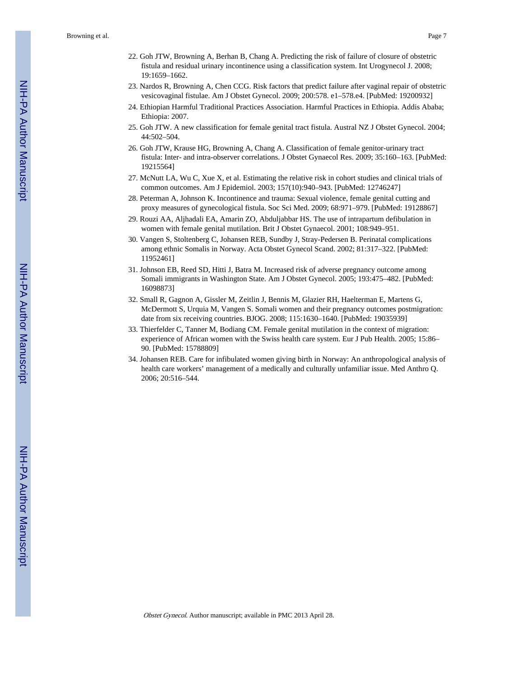- 22. Goh JTW, Browning A, Berhan B, Chang A. Predicting the risk of failure of closure of obstetric fistula and residual urinary incontinence using a classification system. Int Urogynecol J. 2008; 19:1659–1662.
- 23. Nardos R, Browning A, Chen CCG. Risk factors that predict failure after vaginal repair of obstetric vesicovaginal fistulae. Am J Obstet Gynecol. 2009; 200:578. e1–578.e4. [PubMed: 19200932]
- 24. Ethiopian Harmful Traditional Practices Association. Harmful Practices in Ethiopia. Addis Ababa; Ethiopia: 2007.
- 25. Goh JTW. A new classification for female genital tract fistula. Austral NZ J Obstet Gynecol. 2004; 44:502–504.
- 26. Goh JTW, Krause HG, Browning A, Chang A. Classification of female genitor-urinary tract fistula: Inter- and intra-observer correlations. J Obstet Gynaecol Res. 2009; 35:160–163. [PubMed: 19215564]
- 27. McNutt LA, Wu C, Xue X, et al. Estimating the relative risk in cohort studies and clinical trials of common outcomes. Am J Epidemiol. 2003; 157(10):940–943. [PubMed: 12746247]
- 28. Peterman A, Johnson K. Incontinence and trauma: Sexual violence, female genital cutting and proxy measures of gynecological fistula. Soc Sci Med. 2009; 68:971–979. [PubMed: 19128867]
- 29. Rouzi AA, Aljhadali EA, Amarin ZO, Abduljabbar HS. The use of intrapartum defibulation in women with female genital mutilation. Brit J Obstet Gynaecol. 2001; 108:949–951.
- 30. Vangen S, Stoltenberg C, Johansen REB, Sundby J, Stray-Pedersen B. Perinatal complications among ethnic Somalis in Norway. Acta Obstet Gynecol Scand. 2002; 81:317–322. [PubMed: 11952461]
- 31. Johnson EB, Reed SD, Hitti J, Batra M. Increased risk of adverse pregnancy outcome among Somali immigrants in Washington State. Am J Obstet Gynecol. 2005; 193:475–482. [PubMed: 16098873]
- 32. Small R, Gagnon A, Gissler M, Zeitlin J, Bennis M, Glazier RH, Haelterman E, Martens G, McDermott S, Urquia M, Vangen S. Somali women and their pregnancy outcomes postmigration: date from six receiving countries. BJOG. 2008; 115:1630–1640. [PubMed: 19035939]
- 33. Thierfelder C, Tanner M, Bodiang CM. Female genital mutilation in the context of migration: experience of African women with the Swiss health care system. Eur J Pub Health. 2005; 15:86– 90. [PubMed: 15788809]
- 34. Johansen REB. Care for infibulated women giving birth in Norway: An anthropological analysis of health care workers' management of a medically and culturally unfamiliar issue. Med Anthro Q. 2006; 20:516–544.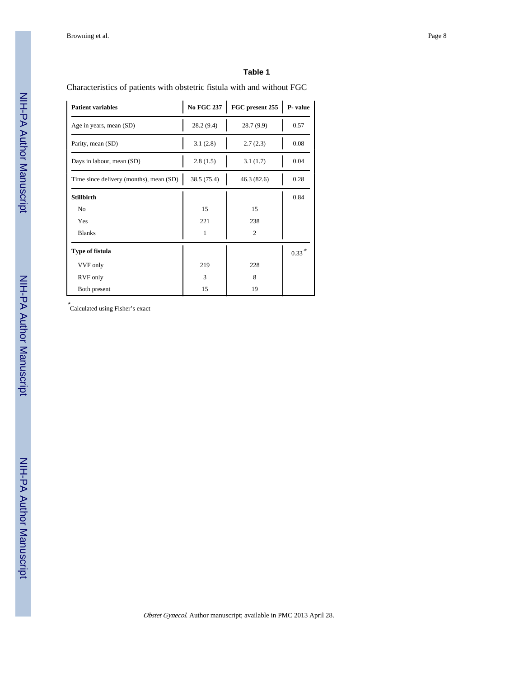Characteristics of patients with obstetric fistula with and without FGC

| <b>Patient variables</b>                | <b>No FGC 237</b> | FGC present 255 | P-value    |
|-----------------------------------------|-------------------|-----------------|------------|
| Age in years, mean (SD)                 | 28.2 (9.4)        | 28.7(9.9)       | 0.57       |
| Parity, mean (SD)                       | 3.1(2.8)          | 2.7(2.3)        | 0.08       |
| Days in labour, mean (SD)               | 2.8(1.5)          | 3.1(1.7)        | 0.04       |
| Time since delivery (months), mean (SD) | 38.5 (75.4)       | 46.3(82.6)      | 0.28       |
| <b>Stillbirth</b>                       |                   |                 | 0.84       |
| N <sub>o</sub>                          | 15                | 15              |            |
| Yes                                     | 221               | 238             |            |
| <b>Blanks</b>                           | 1                 | $\overline{c}$  |            |
| Type of fistula                         |                   |                 | $0.33\,^*$ |
| VVF only                                | 219               | 228             |            |
| RVF only                                | 3                 | 8               |            |
| Both present                            | 15                | 19              |            |

\* Calculated using Fisher's exact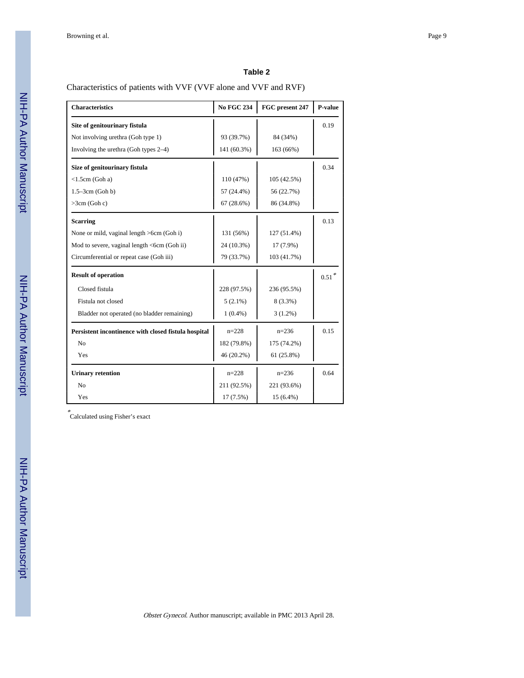Characteristics of patients with VVF (VVF alone and VVF and RVF)

| <b>Characteristics</b>                               | <b>No FGC 234</b> | FGC present 247 | P-value  |
|------------------------------------------------------|-------------------|-----------------|----------|
| Site of genitourinary fistula                        |                   |                 | 0.19     |
| Not involving urethra (Goh type 1)                   | 93 (39.7%)        | 84 (34%)        |          |
| Involving the urethra (Goh types 2-4)                | 141 (60.3%)       | 163 (66%)       |          |
| Size of genitourinary fistula                        |                   |                 | 0.34     |
| $<$ 1.5cm (Goh a)                                    | 110 (47%)         | 105 (42.5%)     |          |
| $1.5 - 3cm$ (Goh b)                                  | 57 (24.4%)        | 56 (22.7%)      |          |
| $>3cm$ (Goh c)                                       | 67(28.6%)         | 86 (34.8%)      |          |
| <b>Scarring</b>                                      |                   |                 | 0.13     |
| None or mild, vaginal length >6cm (Goh i)            | 131 (56%)         | 127 (51.4%)     |          |
| Mod to severe, vaginal length <6cm (Goh ii)          | 24 (10.3%)        | $17(7.9\%)$     |          |
| Circumferential or repeat case (Goh iii)             | 79 (33.7%)        | 103 (41.7%)     |          |
| <b>Result of operation</b>                           |                   |                 | $0.51$ * |
| Closed fistula                                       | 228 (97.5%)       | 236 (95.5%)     |          |
| Fistula not closed                                   | $5(2.1\%)$        | 8 (3.3%)        |          |
| Bladder not operated (no bladder remaining)          | $1(0.4\%)$        | $3(1.2\%)$      |          |
| Persistent incontinence with closed fistula hospital | $n=228$           | $n=236$         | 0.15     |
| N <sub>o</sub>                                       | 182 (79.8%)       | 175 (74.2%)     |          |
| Yes                                                  | 46 (20.2%)        | 61 (25.8%)      |          |
| <b>Urinary retention</b>                             | $n=228$           | $n=236$         | 0.64     |
| N <sub>0</sub>                                       | 211 (92.5%)       | 221 (93.6%)     |          |
| Yes                                                  | 17 (7.5%)         | 15 (6.4%)       |          |

\* Calculated using Fisher's exact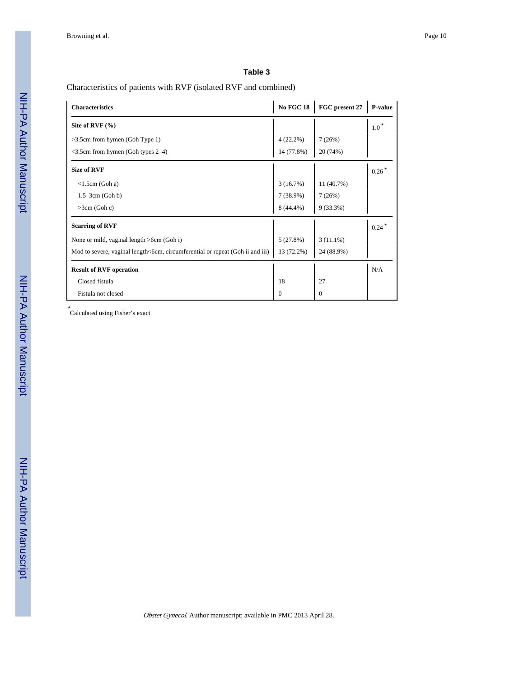# Characteristics of patients with RVF (isolated RVF and combined)

| <b>Characteristics</b>                                                        | <b>No FGC 18</b> | FGC present 27 | P-value    |
|-------------------------------------------------------------------------------|------------------|----------------|------------|
| Site of RVF $(\% )$                                                           |                  |                | $1.0*$     |
| $>3.5$ cm from hymen (Goh Type 1)                                             | $4(22.2\%)$      | 7(26%)         |            |
| $\leq$ 3.5cm from hymen (Goh types 2–4)                                       | 14 (77.8%)       | 20 (74%)       |            |
| <b>Size of RVF</b>                                                            |                  |                | $0.26*$    |
| $\langle$ 1.5cm (Goh a)                                                       | 3(16.7%)         | 11 (40.7%)     |            |
| $1.5 - 3cm$ (Goh b)                                                           | 7(38.9%)         | 7(26%)         |            |
| $>3cm$ (Goh c)                                                                | 8 (44.4%)        | $9(33.3\%)$    |            |
| <b>Scarring of RVF</b>                                                        |                  |                | $0.24$ $*$ |
| None or mild, vaginal length >6cm (Goh i)                                     | 5(27.8%)         | $3(11.1\%)$    |            |
| Mod to severe, vaginal length<6cm, circumferential or repeat (Goh ii and iii) | 13 (72.2%)       | 24 (88.9%)     |            |
| <b>Result of RVF operation</b>                                                |                  |                | N/A        |
| Closed fistula                                                                | 18               | 27             |            |
| Fistula not closed                                                            | $\Omega$         | 0              |            |

\* Calculated using Fisher's exact